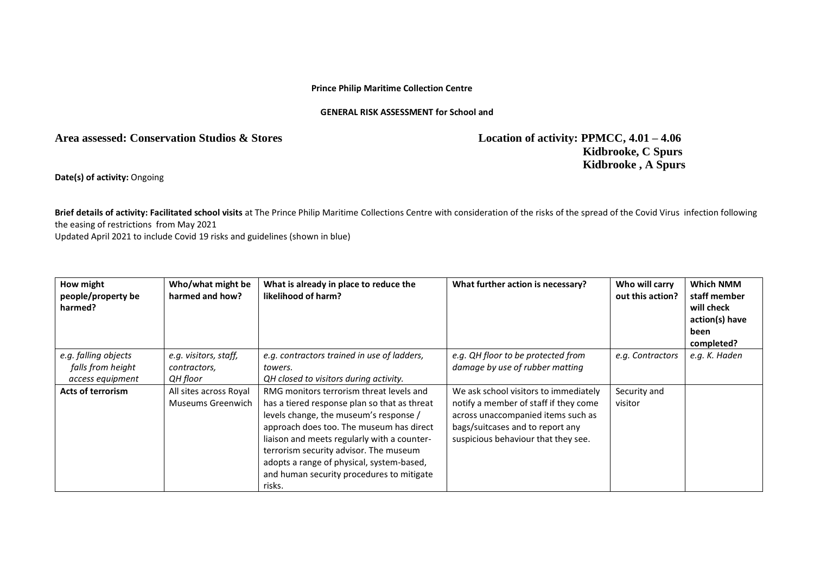## **Prince Philip Maritime Collection Centre**

## **GENERAL RISK ASSESSMENT for School and**

## **Area assessed: Conservation Studios & Stores Location of activity: PPMCC, 4.01 – 4.06**

 **Kidbrooke, C Spurs Kidbrooke , A Spurs**

**Date(s) of activity:** Ongoing

**Brief details of activity: Facilitated school visits** at The Prince Philip Maritime Collections Centre with consideration of the risks of the spread of the Covid Virus infection following the easing of restrictions from May 2021

Updated April 2021 to include Covid 19 risks and guidelines (shown in blue)

| How might<br>people/property be<br>harmed?                    | Who/what might be<br>harmed and how?              | What is already in place to reduce the<br>likelihood of harm?                                                                                                                                                                                                                                                                                                               | What further action is necessary?                                                                                                                                                               | Who will carry<br>out this action? | <b>Which NMM</b><br>staff member<br>will check<br>action(s) have<br>been<br>completed? |
|---------------------------------------------------------------|---------------------------------------------------|-----------------------------------------------------------------------------------------------------------------------------------------------------------------------------------------------------------------------------------------------------------------------------------------------------------------------------------------------------------------------------|-------------------------------------------------------------------------------------------------------------------------------------------------------------------------------------------------|------------------------------------|----------------------------------------------------------------------------------------|
| e.g. falling objects<br>falls from height<br>access equipment | e.g. visitors, staff,<br>contractors,<br>QH floor | e.g. contractors trained in use of ladders,<br>towers.<br>QH closed to visitors during activity.                                                                                                                                                                                                                                                                            | e.g. QH floor to be protected from<br>damage by use of rubber matting                                                                                                                           | e.g. Contractors                   | e.g. K. Haden                                                                          |
| <b>Acts of terrorism</b>                                      | All sites across Royal<br>Museums Greenwich       | RMG monitors terrorism threat levels and<br>has a tiered response plan so that as threat<br>levels change, the museum's response /<br>approach does too. The museum has direct<br>liaison and meets regularly with a counter-<br>terrorism security advisor. The museum<br>adopts a range of physical, system-based,<br>and human security procedures to mitigate<br>risks. | We ask school visitors to immediately<br>notify a member of staff if they come<br>across unaccompanied items such as<br>bags/suitcases and to report any<br>suspicious behaviour that they see. | Security and<br>visitor            |                                                                                        |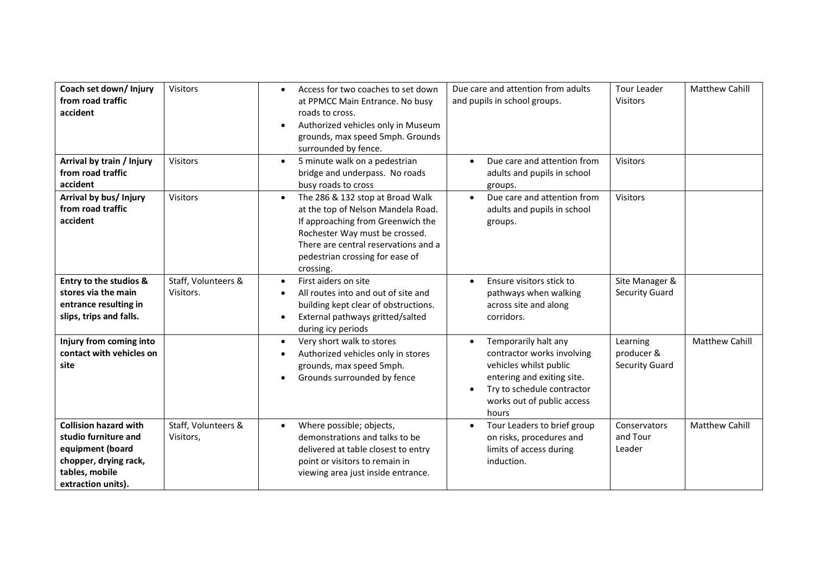| Coach set down/ Injury<br>from road traffic<br>accident                                                                                   | <b>Visitors</b>                  | Access for two coaches to set down<br>$\bullet$<br>at PPMCC Main Entrance. No busy<br>roads to cross.<br>Authorized vehicles only in Museum<br>grounds, max speed 5mph. Grounds<br>surrounded by fence.                                            | Due care and attention from adults<br>and pupils in school groups.                                                                                                                                        | <b>Tour Leader</b><br><b>Visitors</b>           | <b>Matthew Cahill</b> |
|-------------------------------------------------------------------------------------------------------------------------------------------|----------------------------------|----------------------------------------------------------------------------------------------------------------------------------------------------------------------------------------------------------------------------------------------------|-----------------------------------------------------------------------------------------------------------------------------------------------------------------------------------------------------------|-------------------------------------------------|-----------------------|
| Arrival by train / Injury<br>from road traffic<br>accident                                                                                | <b>Visitors</b>                  | 5 minute walk on a pedestrian<br>$\bullet$<br>bridge and underpass. No roads<br>busy roads to cross                                                                                                                                                | Due care and attention from<br>$\bullet$<br>adults and pupils in school<br>groups.                                                                                                                        | <b>Visitors</b>                                 |                       |
| Arrival by bus/ Injury<br>from road traffic<br>accident                                                                                   | <b>Visitors</b>                  | The 286 & 132 stop at Broad Walk<br>$\bullet$<br>at the top of Nelson Mandela Road.<br>If approaching from Greenwich the<br>Rochester Way must be crossed.<br>There are central reservations and a<br>pedestrian crossing for ease of<br>crossing. | Due care and attention from<br>$\bullet$<br>adults and pupils in school<br>groups.                                                                                                                        | Visitors                                        |                       |
| <b>Entry to the studios &amp;</b><br>stores via the main<br>entrance resulting in<br>slips, trips and falls.                              | Staff, Volunteers &<br>Visitors. | First aiders on site<br>$\bullet$<br>All routes into and out of site and<br>building kept clear of obstructions.<br>External pathways gritted/salted<br>$\bullet$<br>during icy periods                                                            | Ensure visitors stick to<br>pathways when walking<br>across site and along<br>corridors.                                                                                                                  | Site Manager &<br><b>Security Guard</b>         |                       |
| Injury from coming into<br>contact with vehicles on<br>site                                                                               |                                  | Very short walk to stores<br>$\bullet$<br>Authorized vehicles only in stores<br>grounds, max speed 5mph.<br>Grounds surrounded by fence                                                                                                            | Temporarily halt any<br>$\bullet$<br>contractor works involving<br>vehicles whilst public<br>entering and exiting site.<br>Try to schedule contractor<br>$\bullet$<br>works out of public access<br>hours | Learning<br>producer &<br><b>Security Guard</b> | <b>Matthew Cahill</b> |
| <b>Collision hazard with</b><br>studio furniture and<br>equipment (board<br>chopper, drying rack,<br>tables, mobile<br>extraction units). | Staff, Volunteers &<br>Visitors, | Where possible; objects,<br>$\bullet$<br>demonstrations and talks to be<br>delivered at table closest to entry<br>point or visitors to remain in<br>viewing area just inside entrance.                                                             | Tour Leaders to brief group<br>on risks, procedures and<br>limits of access during<br>induction.                                                                                                          | Conservators<br>and Tour<br>Leader              | <b>Matthew Cahill</b> |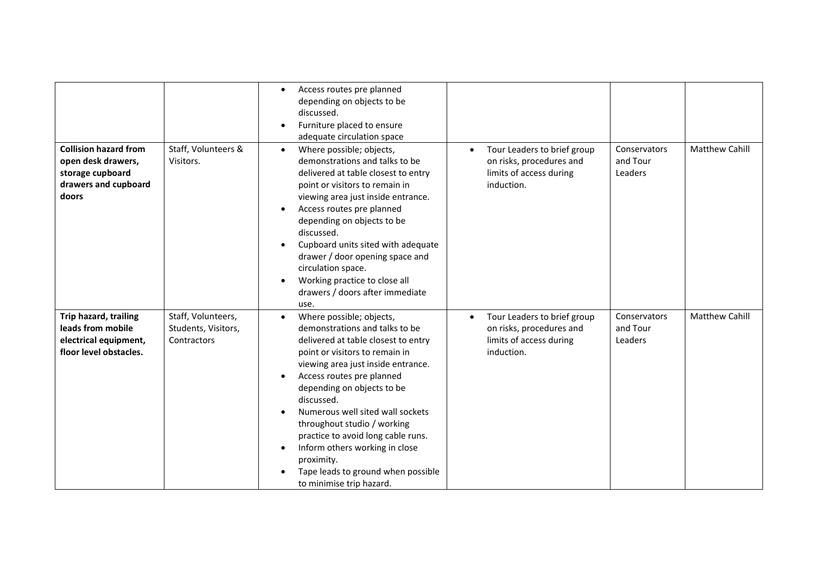| <b>Collision hazard from</b><br>open desk drawers,<br>storage cupboard<br>drawers and cupboard<br>doors | Staff, Volunteers &<br>Visitors.                         | Access routes pre planned<br>$\bullet$<br>depending on objects to be<br>discussed.<br>Furniture placed to ensure<br>adequate circulation space<br>Where possible; objects,<br>$\bullet$<br>demonstrations and talks to be<br>delivered at table closest to entry<br>point or visitors to remain in<br>viewing area just inside entrance.<br>Access routes pre planned<br>depending on objects to be<br>discussed.<br>Cupboard units sited with adequate<br>drawer / door opening space and<br>circulation space.<br>Working practice to close all<br>drawers / doors after immediate | Tour Leaders to brief group<br>$\bullet$<br>on risks, procedures and<br>limits of access during<br>induction. | Conservators<br>and Tour<br>Leaders | <b>Matthew Cahill</b> |
|---------------------------------------------------------------------------------------------------------|----------------------------------------------------------|--------------------------------------------------------------------------------------------------------------------------------------------------------------------------------------------------------------------------------------------------------------------------------------------------------------------------------------------------------------------------------------------------------------------------------------------------------------------------------------------------------------------------------------------------------------------------------------|---------------------------------------------------------------------------------------------------------------|-------------------------------------|-----------------------|
| Trip hazard, trailing<br>leads from mobile<br>electrical equipment,<br>floor level obstacles.           | Staff, Volunteers,<br>Students, Visitors,<br>Contractors | use.<br>Where possible; objects,<br>$\bullet$<br>demonstrations and talks to be<br>delivered at table closest to entry<br>point or visitors to remain in<br>viewing area just inside entrance.<br>Access routes pre planned<br>depending on objects to be<br>discussed.<br>Numerous well sited wall sockets<br>throughout studio / working<br>practice to avoid long cable runs.<br>Inform others working in close<br>proximity.<br>Tape leads to ground when possible<br>to minimise trip hazard.                                                                                   | Tour Leaders to brief group<br>$\bullet$<br>on risks, procedures and<br>limits of access during<br>induction. | Conservators<br>and Tour<br>Leaders | <b>Matthew Cahill</b> |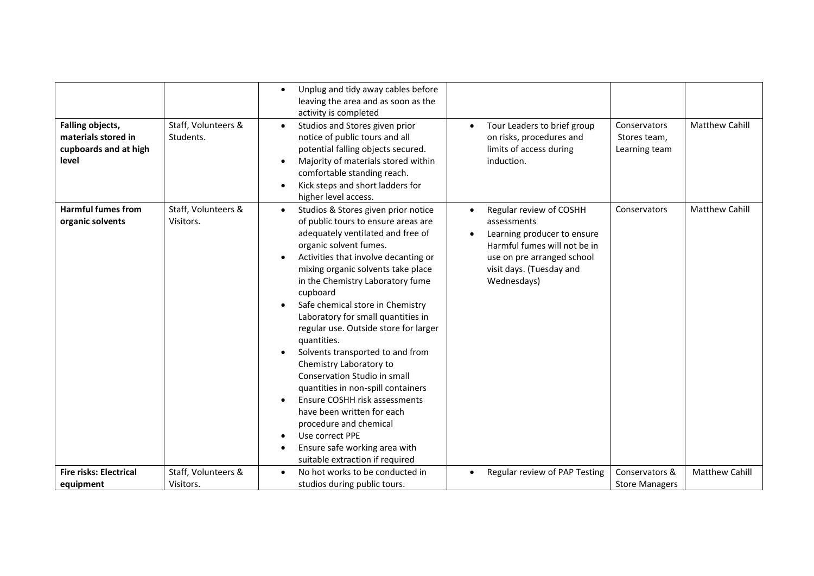| <b>Falling objects,</b><br>materials stored in<br>cupboards and at high<br>level | Staff, Volunteers &<br>Students. | Unplug and tidy away cables before<br>$\bullet$<br>leaving the area and as soon as the<br>activity is completed<br>Studios and Stores given prior<br>$\bullet$<br>notice of public tours and all<br>potential falling objects secured.<br>Majority of materials stored within<br>comfortable standing reach.<br>Kick steps and short ladders for<br>higher level access.                                                                                                                                                                                                                                                                                                                                                                                 | Tour Leaders to brief group<br>$\bullet$<br>on risks, procedures and<br>limits of access during<br>induction.                                                                               | Conservators<br>Stores team,<br>Learning team | <b>Matthew Cahill</b> |
|----------------------------------------------------------------------------------|----------------------------------|----------------------------------------------------------------------------------------------------------------------------------------------------------------------------------------------------------------------------------------------------------------------------------------------------------------------------------------------------------------------------------------------------------------------------------------------------------------------------------------------------------------------------------------------------------------------------------------------------------------------------------------------------------------------------------------------------------------------------------------------------------|---------------------------------------------------------------------------------------------------------------------------------------------------------------------------------------------|-----------------------------------------------|-----------------------|
| <b>Harmful fumes from</b><br>organic solvents                                    | Staff, Volunteers &<br>Visitors. | Studios & Stores given prior notice<br>$\bullet$<br>of public tours to ensure areas are<br>adequately ventilated and free of<br>organic solvent fumes.<br>Activities that involve decanting or<br>mixing organic solvents take place<br>in the Chemistry Laboratory fume<br>cupboard<br>Safe chemical store in Chemistry<br>Laboratory for small quantities in<br>regular use. Outside store for larger<br>quantities.<br>Solvents transported to and from<br>$\bullet$<br>Chemistry Laboratory to<br>Conservation Studio in small<br>quantities in non-spill containers<br>Ensure COSHH risk assessments<br>have been written for each<br>procedure and chemical<br>Use correct PPE<br>Ensure safe working area with<br>suitable extraction if required | Regular review of COSHH<br>$\bullet$<br>assessments<br>Learning producer to ensure<br>Harmful fumes will not be in<br>use on pre arranged school<br>visit days. (Tuesday and<br>Wednesdays) | Conservators                                  | <b>Matthew Cahill</b> |
| <b>Fire risks: Electrical</b>                                                    | Staff, Volunteers &              | No hot works to be conducted in<br>$\bullet$                                                                                                                                                                                                                                                                                                                                                                                                                                                                                                                                                                                                                                                                                                             | Regular review of PAP Testing                                                                                                                                                               | Conservators &                                | <b>Matthew Cahill</b> |
| equipment                                                                        | Visitors.                        | studios during public tours.                                                                                                                                                                                                                                                                                                                                                                                                                                                                                                                                                                                                                                                                                                                             |                                                                                                                                                                                             | <b>Store Managers</b>                         |                       |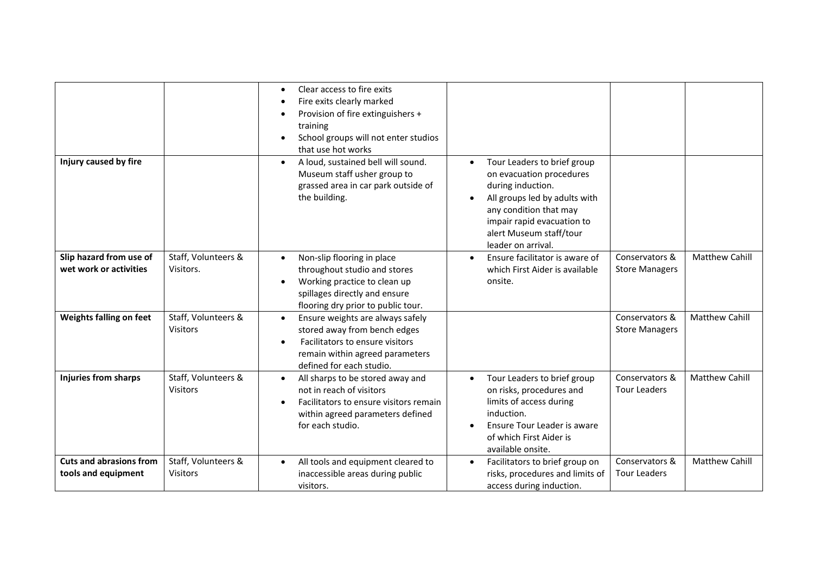| Injury caused by fire                                                        |                                                         | Clear access to fire exits<br>Fire exits clearly marked<br>Provision of fire extinguishers +<br>training<br>School groups will not enter studios<br>that use hot works<br>A loud, sustained bell will sound.<br>$\bullet$<br>Museum staff usher group to<br>grassed area in car park outside of<br>the building. | Tour Leaders to brief group<br>$\bullet$<br>on evacuation procedures<br>during induction.<br>All groups led by adults with<br>$\bullet$<br>any condition that may<br>impair rapid evacuation to<br>alert Museum staff/tour |                                                           |                                                |
|------------------------------------------------------------------------------|---------------------------------------------------------|------------------------------------------------------------------------------------------------------------------------------------------------------------------------------------------------------------------------------------------------------------------------------------------------------------------|----------------------------------------------------------------------------------------------------------------------------------------------------------------------------------------------------------------------------|-----------------------------------------------------------|------------------------------------------------|
|                                                                              |                                                         |                                                                                                                                                                                                                                                                                                                  | leader on arrival.                                                                                                                                                                                                         |                                                           |                                                |
| Slip hazard from use of<br>wet work or activities<br>Weights falling on feet | Staff, Volunteers &<br>Visitors.<br>Staff, Volunteers & | Non-slip flooring in place<br>$\bullet$<br>throughout studio and stores<br>Working practice to clean up<br>$\bullet$<br>spillages directly and ensure<br>flooring dry prior to public tour.<br>Ensure weights are always safely<br>$\bullet$                                                                     | Ensure facilitator is aware of<br>$\bullet$<br>which First Aider is available<br>onsite.                                                                                                                                   | Conservators &<br><b>Store Managers</b><br>Conservators & | <b>Matthew Cahill</b><br><b>Matthew Cahill</b> |
|                                                                              | <b>Visitors</b>                                         | stored away from bench edges<br>Facilitators to ensure visitors<br>$\bullet$<br>remain within agreed parameters<br>defined for each studio.                                                                                                                                                                      |                                                                                                                                                                                                                            | <b>Store Managers</b>                                     |                                                |
| <b>Injuries from sharps</b>                                                  | Staff, Volunteers &<br><b>Visitors</b>                  | All sharps to be stored away and<br>$\bullet$<br>not in reach of visitors<br>Facilitators to ensure visitors remain<br>$\bullet$<br>within agreed parameters defined<br>for each studio.                                                                                                                         | Tour Leaders to brief group<br>$\bullet$<br>on risks, procedures and<br>limits of access during<br>induction.<br>Ensure Tour Leader is aware<br>of which First Aider is<br>available onsite.                               | Conservators &<br><b>Tour Leaders</b>                     | Matthew Cahill                                 |
| <b>Cuts and abrasions from</b><br>tools and equipment                        | Staff, Volunteers &<br><b>Visitors</b>                  | All tools and equipment cleared to<br>$\bullet$<br>inaccessible areas during public<br>visitors.                                                                                                                                                                                                                 | Facilitators to brief group on<br>$\bullet$<br>risks, procedures and limits of<br>access during induction.                                                                                                                 | Conservators &<br><b>Tour Leaders</b>                     | <b>Matthew Cahill</b>                          |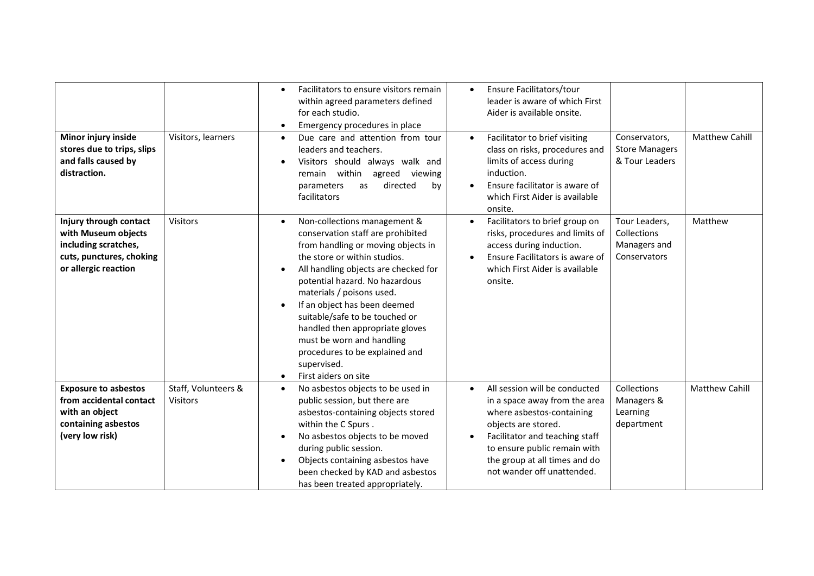| Minor injury inside<br>stores due to trips, slips<br>and falls caused by<br>distraction.                                  | Visitors, learners              | Facilitators to ensure visitors remain<br>$\bullet$<br>within agreed parameters defined<br>for each studio.<br>Emergency procedures in place<br>$\bullet$<br>Due care and attention from tour<br>$\bullet$<br>leaders and teachers.<br>Visitors should always walk and<br>within<br>remain<br>agreed viewing<br>directed<br>parameters<br>as<br>by<br>facilitators                                                                                                     | Ensure Facilitators/tour<br>$\bullet$<br>leader is aware of which First<br>Aider is available onsite.<br>Facilitator to brief visiting<br>$\bullet$<br>class on risks, procedures and<br>limits of access during<br>induction.<br>Ensure facilitator is aware of<br>$\bullet$<br>which First Aider is available<br>onsite. | <b>Matthew Cahill</b><br>Conservators,<br><b>Store Managers</b><br>& Tour Leaders |
|---------------------------------------------------------------------------------------------------------------------------|---------------------------------|------------------------------------------------------------------------------------------------------------------------------------------------------------------------------------------------------------------------------------------------------------------------------------------------------------------------------------------------------------------------------------------------------------------------------------------------------------------------|----------------------------------------------------------------------------------------------------------------------------------------------------------------------------------------------------------------------------------------------------------------------------------------------------------------------------|-----------------------------------------------------------------------------------|
| Injury through contact<br>with Museum objects<br>including scratches,<br>cuts, punctures, choking<br>or allergic reaction | <b>Visitors</b>                 | Non-collections management &<br>$\bullet$<br>conservation staff are prohibited<br>from handling or moving objects in<br>the store or within studios.<br>All handling objects are checked for<br>potential hazard. No hazardous<br>materials / poisons used.<br>If an object has been deemed<br>suitable/safe to be touched or<br>handled then appropriate gloves<br>must be worn and handling<br>procedures to be explained and<br>supervised.<br>First aiders on site | Facilitators to brief group on<br>$\bullet$<br>risks, procedures and limits of<br>access during induction.<br>Ensure Facilitators is aware of<br>$\bullet$<br>which First Aider is available<br>onsite.                                                                                                                    | Matthew<br>Tour Leaders,<br>Collections<br>Managers and<br>Conservators           |
| <b>Exposure to asbestos</b><br>from accidental contact<br>with an object<br>containing asbestos<br>(very low risk)        | Staff, Volunteers &<br>Visitors | No asbestos objects to be used in<br>$\bullet$<br>public session, but there are<br>asbestos-containing objects stored<br>within the C Spurs.<br>No asbestos objects to be moved<br>during public session.<br>Objects containing asbestos have<br>$\bullet$<br>been checked by KAD and asbestos<br>has been treated appropriately.                                                                                                                                      | All session will be conducted<br>$\bullet$<br>in a space away from the area<br>where asbestos-containing<br>objects are stored.<br>Facilitator and teaching staff<br>to ensure public remain with<br>the group at all times and do<br>not wander off unattended.                                                           | Collections<br><b>Matthew Cahill</b><br>Managers &<br>Learning<br>department      |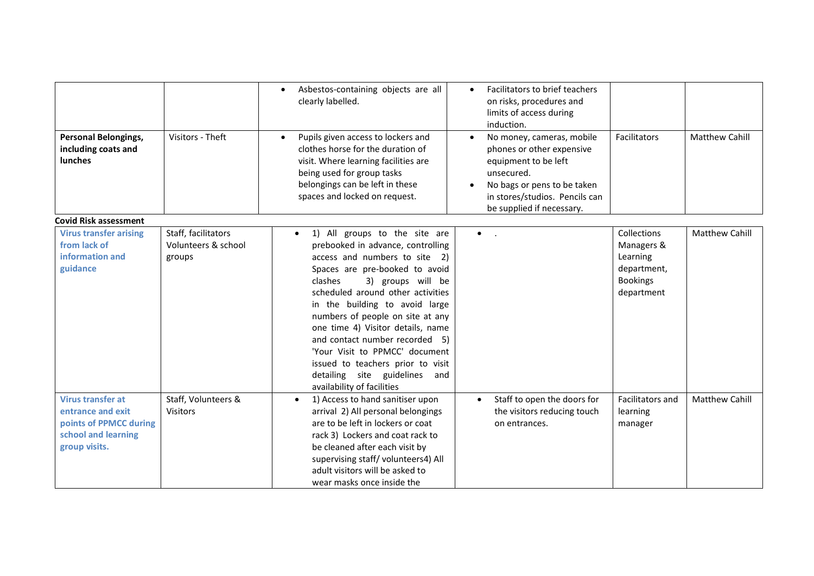| Personal Belongings,<br>including coats and<br>lunches                                                          | Visitors - Theft                                     | Asbestos-containing objects are all<br>$\bullet$<br>clearly labelled.<br>Pupils given access to lockers and<br>$\bullet$<br>clothes horse for the duration of<br>visit. Where learning facilities are                                                                                                                                                                                                                                                                                                         | Facilitators to brief teachers<br>$\bullet$<br>on risks, procedures and<br>limits of access during<br>induction.<br>No money, cameras, mobile<br>$\bullet$<br>phones or other expensive<br>equipment to be left | Facilitators                                                                                 | <b>Matthew Cahill</b> |
|-----------------------------------------------------------------------------------------------------------------|------------------------------------------------------|---------------------------------------------------------------------------------------------------------------------------------------------------------------------------------------------------------------------------------------------------------------------------------------------------------------------------------------------------------------------------------------------------------------------------------------------------------------------------------------------------------------|-----------------------------------------------------------------------------------------------------------------------------------------------------------------------------------------------------------------|----------------------------------------------------------------------------------------------|-----------------------|
|                                                                                                                 |                                                      | being used for group tasks<br>belongings can be left in these<br>spaces and locked on request.                                                                                                                                                                                                                                                                                                                                                                                                                | unsecured.<br>No bags or pens to be taken<br>in stores/studios. Pencils can<br>be supplied if necessary.                                                                                                        |                                                                                              |                       |
| <b>Covid Risk assessment</b>                                                                                    |                                                      |                                                                                                                                                                                                                                                                                                                                                                                                                                                                                                               |                                                                                                                                                                                                                 |                                                                                              |                       |
| <b>Virus transfer arising</b><br>from lack of<br>information and<br>guidance                                    | Staff, facilitators<br>Volunteers & school<br>groups | 1) All groups to the site are<br>$\bullet$<br>prebooked in advance, controlling<br>access and numbers to site 2)<br>Spaces are pre-booked to avoid<br>clashes<br>3) groups will be<br>scheduled around other activities<br>in the building to avoid large<br>numbers of people on site at any<br>one time 4) Visitor details, name<br>and contact number recorded 5)<br>'Your Visit to PPMCC' document<br>issued to teachers prior to visit<br>detailing site guidelines<br>and<br>availability of facilities | $\bullet$<br>$\sim 10$                                                                                                                                                                                          | <b>Collections</b><br>Managers &<br>Learning<br>department,<br><b>Bookings</b><br>department | Matthew Cahill        |
| <b>Virus transfer at</b><br>entrance and exit<br>points of PPMCC during<br>school and learning<br>group visits. | Staff, Volunteers &<br><b>Visitors</b>               | 1) Access to hand sanitiser upon<br>$\bullet$<br>arrival 2) All personal belongings<br>are to be left in lockers or coat<br>rack 3) Lockers and coat rack to<br>be cleaned after each visit by<br>supervising staff/volunteers4) All<br>adult visitors will be asked to<br>wear masks once inside the                                                                                                                                                                                                         | Staff to open the doors for<br>$\bullet$<br>the visitors reducing touch<br>on entrances.                                                                                                                        | Facilitators and<br>learning<br>manager                                                      | <b>Matthew Cahill</b> |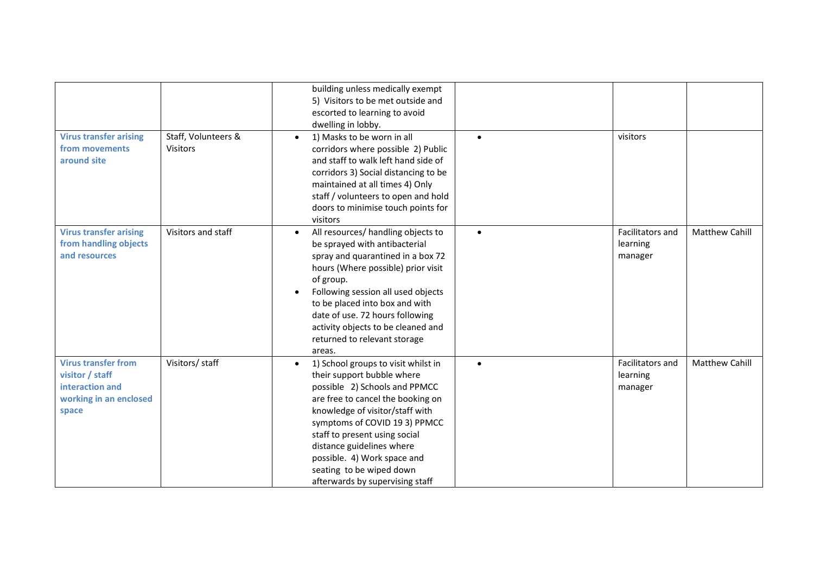| <b>Virus transfer arising</b><br>from movements<br>around site                                      | Staff, Volunteers &<br><b>Visitors</b> | building unless medically exempt<br>5) Visitors to be met outside and<br>escorted to learning to avoid<br>dwelling in lobby.<br>1) Masks to be worn in all<br>$\bullet$<br>corridors where possible 2) Public<br>and staff to walk left hand side of<br>corridors 3) Social distancing to be<br>maintained at all times 4) Only<br>staff / volunteers to open and hold<br>doors to minimise touch points for<br>visitors | $\bullet$ | visitors                                |                       |
|-----------------------------------------------------------------------------------------------------|----------------------------------------|--------------------------------------------------------------------------------------------------------------------------------------------------------------------------------------------------------------------------------------------------------------------------------------------------------------------------------------------------------------------------------------------------------------------------|-----------|-----------------------------------------|-----------------------|
| <b>Virus transfer arising</b><br>from handling objects<br>and resources                             | Visitors and staff                     | All resources/ handling objects to<br>$\bullet$<br>be sprayed with antibacterial<br>spray and quarantined in a box 72<br>hours (Where possible) prior visit<br>of group.<br>Following session all used objects<br>to be placed into box and with<br>date of use. 72 hours following<br>activity objects to be cleaned and<br>returned to relevant storage<br>areas.                                                      | $\bullet$ | Facilitators and<br>learning<br>manager | <b>Matthew Cahill</b> |
| <b>Virus transfer from</b><br>visitor / staff<br>interaction and<br>working in an enclosed<br>space | Visitors/ staff                        | 1) School groups to visit whilst in<br>$\bullet$<br>their support bubble where<br>possible 2) Schools and PPMCC<br>are free to cancel the booking on<br>knowledge of visitor/staff with<br>symptoms of COVID 193) PPMCC<br>staff to present using social<br>distance guidelines where<br>possible. 4) Work space and<br>seating to be wiped down<br>afterwards by supervising staff                                      | $\bullet$ | Facilitators and<br>learning<br>manager | <b>Matthew Cahill</b> |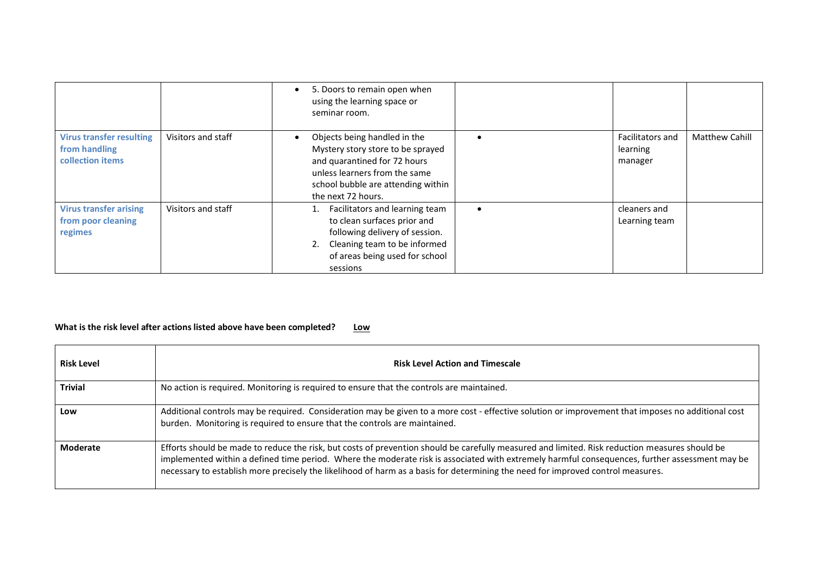|                                                                      |                    | 5. Doors to remain open when<br>$\bullet$<br>using the learning space or<br>seminar room.                                                                                                                   |                                                |                       |
|----------------------------------------------------------------------|--------------------|-------------------------------------------------------------------------------------------------------------------------------------------------------------------------------------------------------------|------------------------------------------------|-----------------------|
| <b>Virus transfer resulting</b><br>from handling<br>collection items | Visitors and staff | Objects being handled in the<br>$\bullet$<br>Mystery story store to be sprayed<br>and quarantined for 72 hours<br>unless learners from the same<br>school bubble are attending within<br>the next 72 hours. | <b>Facilitators and</b><br>learning<br>manager | <b>Matthew Cahill</b> |
| <b>Virus transfer arising</b><br>from poor cleaning<br>regimes       | Visitors and staff | Facilitators and learning team<br>to clean surfaces prior and<br>following delivery of session.<br>2. Cleaning team to be informed<br>of areas being used for school<br>sessions                            | cleaners and<br>Learning team                  |                       |

## What is the risk level after actions listed above have been completed? Low

| <b>Risk Level</b> | <b>Risk Level Action and Timescale</b>                                                                                                                                                                                                                                                                                                                                                                                              |
|-------------------|-------------------------------------------------------------------------------------------------------------------------------------------------------------------------------------------------------------------------------------------------------------------------------------------------------------------------------------------------------------------------------------------------------------------------------------|
| <b>Trivial</b>    | No action is required. Monitoring is required to ensure that the controls are maintained.                                                                                                                                                                                                                                                                                                                                           |
| Low               | Additional controls may be required. Consideration may be given to a more cost - effective solution or improvement that imposes no additional cost<br>burden. Monitoring is required to ensure that the controls are maintained.                                                                                                                                                                                                    |
| <b>Moderate</b>   | Efforts should be made to reduce the risk, but costs of prevention should be carefully measured and limited. Risk reduction measures should be<br>implemented within a defined time period. Where the moderate risk is associated with extremely harmful consequences, further assessment may be<br>necessary to establish more precisely the likelihood of harm as a basis for determining the need for improved control measures. |